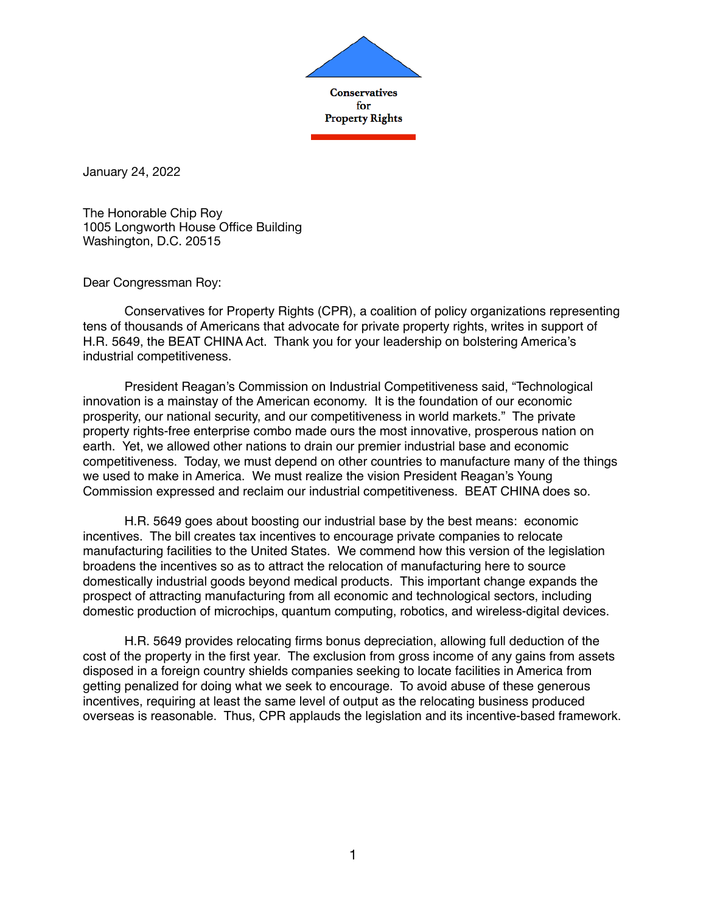

January 24, 2022

The Honorable Chip Roy 1005 Longworth House Office Building Washington, D.C. 20515

Dear Congressman Roy:

Conservatives for Property Rights (CPR), a coalition of policy organizations representing tens of thousands of Americans that advocate for private property rights, writes in support of H.R. 5649, the BEAT CHINA Act. Thank you for your leadership on bolstering America's industrial competitiveness.

President Reagan's Commission on Industrial Competitiveness said, "Technological innovation is a mainstay of the American economy. It is the foundation of our economic prosperity, our national security, and our competitiveness in world markets." The private property rights-free enterprise combo made ours the most innovative, prosperous nation on earth. Yet, we allowed other nations to drain our premier industrial base and economic competitiveness. Today, we must depend on other countries to manufacture many of the things we used to make in America. We must realize the vision President Reagan's Young Commission expressed and reclaim our industrial competitiveness. BEAT CHINA does so.

H.R. 5649 goes about boosting our industrial base by the best means: economic incentives. The bill creates tax incentives to encourage private companies to relocate manufacturing facilities to the United States. We commend how this version of the legislation broadens the incentives so as to attract the relocation of manufacturing here to source domestically industrial goods beyond medical products. This important change expands the prospect of attracting manufacturing from all economic and technological sectors, including domestic production of microchips, quantum computing, robotics, and wireless-digital devices.

H.R. 5649 provides relocating firms bonus depreciation, allowing full deduction of the cost of the property in the first year. The exclusion from gross income of any gains from assets disposed in a foreign country shields companies seeking to locate facilities in America from getting penalized for doing what we seek to encourage. To avoid abuse of these generous incentives, requiring at least the same level of output as the relocating business produced overseas is reasonable. Thus, CPR applauds the legislation and its incentive-based framework.